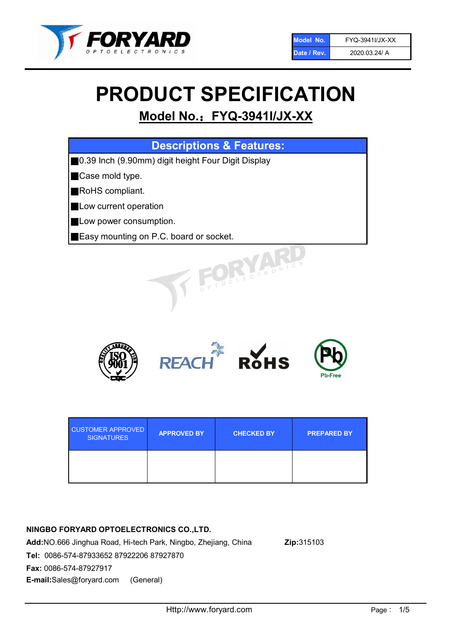

# PRODUCT SPECIFICATION

# Model No.: FYQ-3941I/JX-XX

| <b>Descriptions &amp; Features:</b>                |
|----------------------------------------------------|
| 0.39 Inch (9.90mm) digit height Four Digit Display |
| Case mold type.                                    |
| RoHS compliant.                                    |
| Low current operation                              |
| Low power consumption.                             |
| Easy mounting on P.C. board or socket.             |
| TOELECTRONICS                                      |



| <b>CUSTOMER APPROVED</b><br><b>SIGNATURES</b> | <b>APPROVED BY</b> | <b>CHECKED BY</b> | <b>PREPARED BY</b> |
|-----------------------------------------------|--------------------|-------------------|--------------------|
|                                               |                    |                   |                    |

# NINGBO FORYARD OPTOELECTRONICS CO.,LTD.

Add:NO.666 Jinghua Road, Hi-tech Park, Ningbo, Zhejiang, China Zip:315103 Tel: 0086-574-87933652 87922206 87927870 Fax: 0086-574-87927917 E-mail:Sales@foryard.com (General)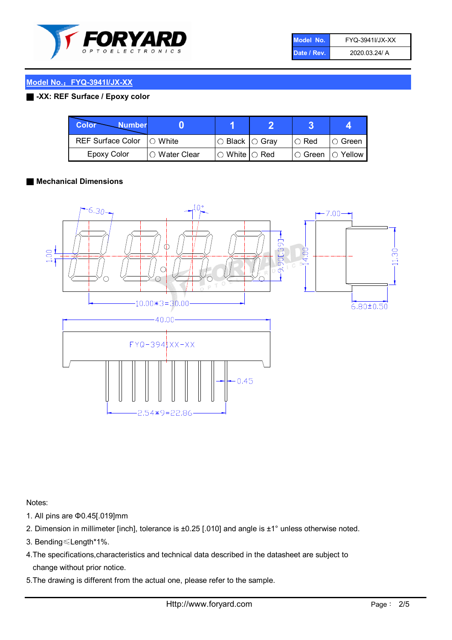

| Model No.   | FYQ-3941I/JX-XX |
|-------------|-----------------|
| Date / Rev. | 2020.03.24/ A   |

# Model No.:FYQ-3941I/JX-XX

# ■ -XX: REF Surface / Epoxy color

| Color<br><b>Number</b>      |                |                                                   |             |                |
|-----------------------------|----------------|---------------------------------------------------|-------------|----------------|
| REF Surface Color   O White |                | ○ Black  ○ Gray                                   | $\circ$ Red | $\circ$ Green  |
| Epoxy Color                 | I⊖ Water Clear | $\mathbin{\varcap}$ White $\mathbin{\varcap}$ Red | IO Green∶   | $\circ$ Yellow |

### ■ Mechanical Dimensions



Notes:

- 1. All pins are Φ0.45[.019]mm
- 2. Dimension in millimeter [inch], tolerance is ±0.25 [.010] and angle is ±1° unless otherwise noted.
- 3. Bending≤Length\*1%.
- 4.The specifications,characteristics and technical data described in the datasheet are subject to change without prior notice.
- 5.The drawing is different from the actual one, please refer to the sample.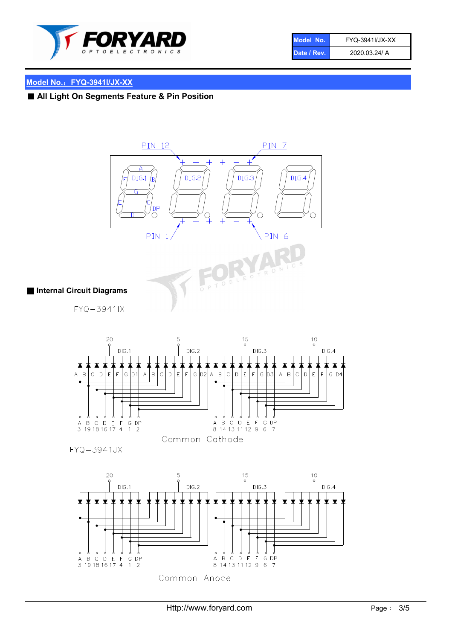

| Model No.   | FYQ-3941I/JX-XX |
|-------------|-----------------|
| Date / Rev. | 2020.03.24/ A   |

# Model No.: FYQ-3941I/JX-XX

■ All Light On Segments Feature & Pin Position







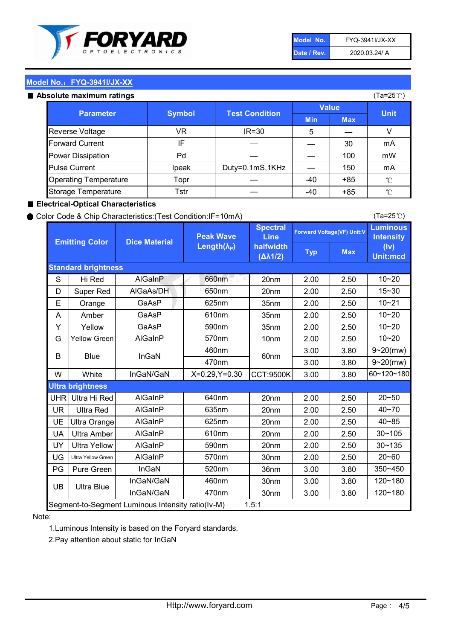

| Model No.   | FYQ-3941I/JX-XX |
|-------------|-----------------|
| Date / Rev. | 2020.03.24/ A   |

# Model No.: FYQ-3941I/JX-XX

#### Absolute maximum

| סטוענט וווסגוווועווו וסנווועס |               |                       |              | $(1a-ZUV)$ |              |
|-------------------------------|---------------|-----------------------|--------------|------------|--------------|
| <b>Parameter</b>              | <b>Symbol</b> | <b>Test Condition</b> | <b>Value</b> |            | <b>Unit</b>  |
|                               |               |                       | <b>Min</b>   | <b>Max</b> |              |
| Reverse Voltage               | VR.           | $IR = 30$             | 5            |            |              |
| <b>Forward Current</b>        | IF            |                       |              | 30         | mA           |
| Power Dissipation             | Pd            |                       |              | 100        | mW           |
| <b>Pulse Current</b>          | Ipeak         | Duty=0.1mS,1KHz       |              | 150        | mA           |
| <b>Operating Temperature</b>  | Topr          |                       | $-40$        | $+85$      | $^{\circ}$ C |
| Storage Temperature           | Tstr          |                       | -40          | $+85$      | $^{\circ}$ C |

### ■ Electrical-Optical Characteristics

#### ● Color Code & Chip Characteristics:(Test Condition:IF=10mA)

Typ Max S | Hi $\textsf{Red}$  | AlGaInP | 660nm LE 20nm | 2.00 | 2.50 D | Super Red | AIGaAs/DH | 650nm | 20nm | 2.00 | 2.50 E | Orange | GaAsP | 625nm | 35nm | 2.00 | 2.50 A | Amber | GaAsP | 610nm | 35nm | 2.00 | 2.50 Y | Yellow | GaAsP | 590nm | 35nm | 2.00 | 2.50 G Yellow Green AIGaInP | 570nm | 10nm | 2.00 | 2.50 3.00 3.80 3.00 3.80 W | White | InGaN/GaN | X=0.29,Y=0.30 |CCT:9500K| 3.00 | 3.80 UHR Ultra Hi Red  $\vert$  AIGaInP  $\vert$  640nm  $\vert$  20nm  $\vert$  2.00  $\vert$  2.50 UR | Ultra Red | AlGaInP | 635nm | 20nm | 2.00 | 2.50 UE Ultra Orange | AIGaInP | 625nm | 20nm | 2.00 | 2.50 UA Ultra Amber | AIGaInP | 610nm | 20nm | 2.00 | 2.50  $UV$  Ultra Yellow  $\vert$  AlGaInP  $\vert$  590nm  $\vert$  20nm  $\vert$  2.00  $\vert$  2.50  $\text{UG}$  Ultra Yellow Green | AIGaInP | 570nm | 30nm | 2.00 | 2.50 PG Pure Green | InGaN | 520nm | 36nm | 3.00 | 3.80 30nm 3.00 3.80 30nm 3.00 3.80 10~20 Standard brightness Forward Voltage(VF) Unit:V 15~30 10~20 10~20 625nm GaAsP 590nm **Emitting Color Dice Material** 10~21 610nm Luminous **Intensity** (Iv) Unit:mcd AlGainP 660nm GaAsP GaAsP AlGaAs/DH **Spectral** Line halfwidth (∆λ1/2) Peak Wave Length $(\lambda_{\rm P})$ UB 460nm 635nm AlGaInP AlGaInP AlGaInP InGaN/GaN AlGaInP | 570nm | 10nm | 2.00 | 2.50 | 10~20 30~105 30~135 460nm 520nm Ultra brightness **AlGaInP** AlGaInP 60nm AlGaInP 640nm Segment-to-Segment Luminous Intensity ratio(Iv-M) 1.5:1 610nm 9~20(mw) 350~450 470nm 120~180 120~180 Ultra Blue InGaN/GaN 9~20(mw) 20~50 570nm | 30nm | 2.00 | 2.50 | 20~60 470nm 590nm InGaN/GaN B Blue I InGaN 40~85 60~120~180 40~70

#### Note:

1.Luminous Intensity is based on the Foryard standards.

2.Pay attention about static for InGaN

(Ta=25℃)

(Ta=25℃)